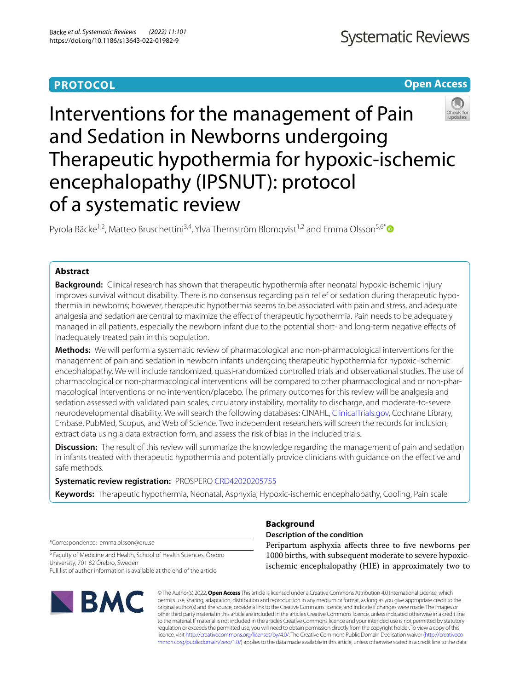# **PROTOCOL**

# **Open Access**



# Interventions for the management of Pain and Sedation in Newborns undergoing Therapeutic hypothermia for hypoxic-ischemic encephalopathy (IPSNUT): protocol of a systematic review

Pyrola Bäcke<sup>1,2</sup>, Matteo Bruschettini<sup>3,4</sup>, Ylva Thernström Blomqvist<sup>1,2</sup> and Emma Olsson<sup>5,6\*</sup>

# **Abstract**

**Background:** Clinical research has shown that therapeutic hypothermia after neonatal hypoxic-ischemic injury improves survival without disability. There is no consensus regarding pain relief or sedation during therapeutic hypothermia in newborns; however, therapeutic hypothermia seems to be associated with pain and stress, and adequate analgesia and sedation are central to maximize the effect of therapeutic hypothermia. Pain needs to be adequately managed in all patients, especially the newborn infant due to the potential short- and long-term negative efects of inadequately treated pain in this population.

**Methods:** We will perform a systematic review of pharmacological and non-pharmacological interventions for the management of pain and sedation in newborn infants undergoing therapeutic hypothermia for hypoxic-ischemic encephalopathy. We will include randomized, quasi-randomized controlled trials and observational studies. The use of pharmacological or non-pharmacological interventions will be compared to other pharmacological and or non-pharmacological interventions or no intervention/placebo. The primary outcomes for this review will be analgesia and sedation assessed with validated pain scales, circulatory instability, mortality to discharge, and moderate-to-severe neurodevelopmental disability. We will search the following databases: CINAHL, [ClinicalTrials.gov](http://clinicaltrials.gov), Cochrane Library, Embase, PubMed, Scopus, and Web of Science. Two independent researchers will screen the records for inclusion, extract data using a data extraction form, and assess the risk of bias in the included trials.

**Discussion:** The result of this review will summarize the knowledge regarding the management of pain and sedation in infants treated with therapeutic hypothermia and potentially provide clinicians with guidance on the efective and safe methods.

# **Systematic review registration:** PROSPERO [CRD42020205755](https://www.crd.york.ac.uk/prospero/display_record.php?RecordID=205755)

**Keywords:** Therapeutic hypothermia, Neonatal, Asphyxia, Hypoxic-ischemic encephalopathy, Cooling, Pain scale

\*Correspondence: emma.olsson@oru.se

<sup>6</sup> Faculty of Medicine and Health, School of Health Sciences, Örebro University, 701 82 Örebro, Sweden Full list of author information is available at the end of the article



# **Background**

# **Description of the condition**

Peripartum asphyxia afects three to fve newborns per 1000 births, with subsequent moderate to severe hypoxicischemic encephalopathy (HIE) in approximately two to

© The Author(s) 2022. **Open Access** This article is licensed under a Creative Commons Attribution 4.0 International License, which permits use, sharing, adaptation, distribution and reproduction in any medium or format, as long as you give appropriate credit to the original author(s) and the source, provide a link to the Creative Commons licence, and indicate if changes were made. The images or other third party material in this article are included in the article's Creative Commons licence, unless indicated otherwise in a credit line to the material. If material is not included in the article's Creative Commons licence and your intended use is not permitted by statutory regulation or exceeds the permitted use, you will need to obtain permission directly from the copyright holder. To view a copy of this licence, visit [http://creativecommons.org/licenses/by/4.0/.](http://creativecommons.org/licenses/by/4.0/) The Creative Commons Public Domain Dedication waiver ([http://creativeco](http://creativecommons.org/publicdomain/zero/1.0/) [mmons.org/publicdomain/zero/1.0/](http://creativecommons.org/publicdomain/zero/1.0/)) applies to the data made available in this article, unless otherwise stated in a credit line to the data.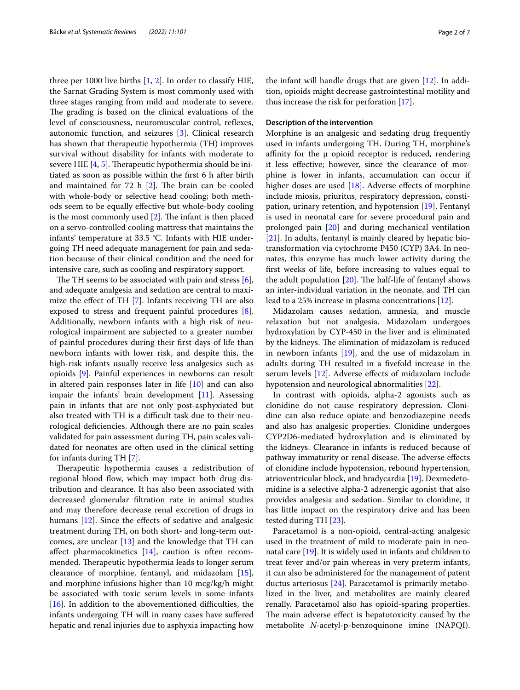three per 1000 live births [\[1](#page-5-0), [2](#page-5-1)]. In order to classify HIE, the Sarnat Grading System is most commonly used with three stages ranging from mild and moderate to severe. The grading is based on the clinical evaluations of the level of consciousness, neuromuscular control, refexes, autonomic function, and seizures [[3\]](#page-5-2). Clinical research has shown that therapeutic hypothermia (TH) improves survival without disability for infants with moderate to severe HIE  $[4, 5]$  $[4, 5]$  $[4, 5]$ . Therapeutic hypothermia should be initiated as soon as possible within the frst 6 h after birth and maintained for  $72$  h  $[2]$  $[2]$ . The brain can be cooled with whole-body or selective head cooling; both methods seem to be equally efective but whole-body cooling is the most commonly used  $[2]$  $[2]$ . The infant is then placed on a servo-controlled cooling mattress that maintains the infants' temperature at 33.5 °C. Infants with HIE undergoing TH need adequate management for pain and sedation because of their clinical condition and the need for intensive care, such as cooling and respiratory support.

The TH seems to be associated with pain and stress  $[6]$  $[6]$ , and adequate analgesia and sedation are central to maximize the efect of TH [\[7](#page-5-6)]. Infants receiving TH are also exposed to stress and frequent painful procedures [\[8](#page-5-7)]. Additionally, newborn infants with a high risk of neurological impairment are subjected to a greater number of painful procedures during their frst days of life than newborn infants with lower risk, and despite this, the high-risk infants usually receive less analgesics such as opioids [[9\]](#page-5-8). Painful experiences in newborns can result in altered pain responses later in life [\[10](#page-5-9)] and can also impair the infants' brain development [\[11](#page-5-10)]. Assessing pain in infants that are not only post-asphyxiated but also treated with TH is a difficult task due to their neurological defciencies. Although there are no pain scales validated for pain assessment during TH, pain scales validated for neonates are often used in the clinical setting for infants during TH [\[7](#page-5-6)].

Therapeutic hypothermia causes a redistribution of regional blood flow, which may impact both drug distribution and clearance. It has also been associated with decreased glomerular fltration rate in animal studies and may therefore decrease renal excretion of drugs in humans [[12\]](#page-5-11). Since the effects of sedative and analgesic treatment during TH, on both short- and long-term outcomes, are unclear  $[13]$  and the knowledge that TH can afect pharmacokinetics [[14\]](#page-5-13), caution is often recommended. Therapeutic hypothermia leads to longer serum clearance of morphine, fentanyl, and midazolam [\[15](#page-5-14)], and morphine infusions higher than 10 mcg/kg/h might be associated with toxic serum levels in some infants [ $16$ ]. In addition to the abovementioned difficulties, the infants undergoing TH will in many cases have sufered hepatic and renal injuries due to asphyxia impacting how the infant will handle drugs that are given [[12\]](#page-5-11). In addition, opioids might decrease gastrointestinal motility and thus increase the risk for perforation [\[17](#page-5-16)].

#### **Description of the intervention**

Morphine is an analgesic and sedating drug frequently used in infants undergoing TH. During TH, morphine's affinity for the  $\mu$  opioid receptor is reduced, rendering it less efective; however, since the clearance of morphine is lower in infants, accumulation can occur if higher doses are used  $[18]$  $[18]$ . Adverse effects of morphine include miosis, priuritus, respiratory depression, constipation, urinary retention, and hypotension [[19\]](#page-5-18). Fentanyl is used in neonatal care for severe procedural pain and prolonged pain [\[20\]](#page-5-19) and during mechanical ventilation [[21\]](#page-5-20). In adults, fentanyl is mainly cleared by hepatic biotransformation via cytochrome P450 (CYP) 3A4. In neonates, this enzyme has much lower activity during the frst weeks of life, before increasing to values equal to the adult population  $[20]$  $[20]$ . The half-life of fentanyl shows an inter-individual variation in the neonate, and TH can lead to a 25% increase in plasma concentrations [\[12](#page-5-11)].

Midazolam causes sedation, amnesia, and muscle relaxation but not analgesia. Midazolam undergoes hydroxylation by CYP-450 in the liver and is eliminated by the kidneys. The elimination of midazolam is reduced in newborn infants [[19\]](#page-5-18), and the use of midazolam in adults during TH resulted in a fvefold increase in the serum levels [\[12\]](#page-5-11). Adverse effects of midazolam include hypotension and neurological abnormalities [[22\]](#page-5-21).

In contrast with opioids, alpha-2 agonists such as clonidine do not cause respiratory depression. Clonidine can also reduce opiate and benzodiazepine needs and also has analgesic properties. Clonidine undergoes CYP2D6-mediated hydroxylation and is eliminated by the kidneys. Clearance in infants is reduced because of pathway immaturity or renal disease. The adverse effects of clonidine include hypotension, rebound hypertension, atrioventricular block, and bradycardia [[19\]](#page-5-18). Dexmedetomidine is a selective alpha-2 adrenergic agonist that also provides analgesia and sedation. Similar to clonidine, it has little impact on the respiratory drive and has been tested during TH [[23\]](#page-5-22).

Paracetamol is a non-opioid, central-acting analgesic used in the treatment of mild to moderate pain in neonatal care [[19\]](#page-5-18). It is widely used in infants and children to treat fever and/or pain whereas in very preterm infants, it can also be administered for the management of patent ductus arteriosus [[24\]](#page-6-0). Paracetamol is primarily metabolized in the liver, and metabolites are mainly cleared renally. Paracetamol also has opioid-sparing properties. The main adverse effect is hepatotoxicity caused by the metabolite *N*-acetyl-p-benzoquinone imine (NAPQI).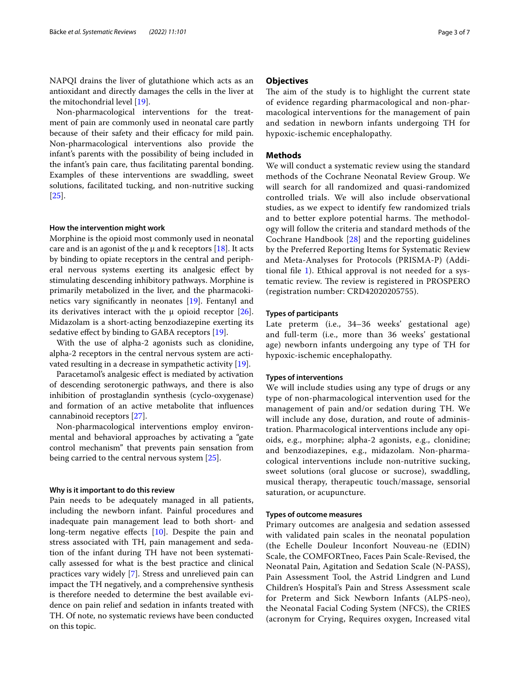NAPQI drains the liver of glutathione which acts as an antioxidant and directly damages the cells in the liver at the mitochondrial level [\[19\]](#page-5-18).

Non-pharmacological interventions for the treatment of pain are commonly used in neonatal care partly because of their safety and their efficacy for mild pain. Non-pharmacological interventions also provide the infant's parents with the possibility of being included in the infant's pain care, thus facilitating parental bonding. Examples of these interventions are swaddling, sweet solutions, facilitated tucking, and non-nutritive sucking [[25\]](#page-6-1).

## **How the intervention might work**

Morphine is the opioid most commonly used in neonatal care and is an agonist of the  $\mu$  and k receptors [\[18](#page-5-17)]. It acts by binding to opiate receptors in the central and peripheral nervous systems exerting its analgesic efect by stimulating descending inhibitory pathways. Morphine is primarily metabolized in the liver, and the pharmacokinetics vary signifcantly in neonates [[19\]](#page-5-18). Fentanyl and its derivatives interact with the  $\mu$  opioid receptor [\[26](#page-6-2)]. Midazolam is a short-acting benzodiazepine exerting its sedative effect by binding to GABA receptors [\[19](#page-5-18)].

With the use of alpha-2 agonists such as clonidine, alpha-2 receptors in the central nervous system are activated resulting in a decrease in sympathetic activity [\[19\]](#page-5-18).

Paracetamol's analgesic efect is mediated by activation of descending serotonergic pathways, and there is also inhibition of prostaglandin synthesis (cyclo-oxygenase) and formation of an active metabolite that infuences cannabinoid receptors [\[27](#page-6-3)].

Non-pharmacological interventions employ environmental and behavioral approaches by activating a "gate control mechanism" that prevents pain sensation from being carried to the central nervous system [\[25](#page-6-1)].

#### **Why is it important to do this review**

Pain needs to be adequately managed in all patients, including the newborn infant. Painful procedures and inadequate pain management lead to both short- and long-term negative effects [\[10](#page-5-9)]. Despite the pain and stress associated with TH, pain management and sedation of the infant during TH have not been systematically assessed for what is the best practice and clinical practices vary widely [[7\]](#page-5-6). Stress and unrelieved pain can impact the TH negatively, and a comprehensive synthesis is therefore needed to determine the best available evidence on pain relief and sedation in infants treated with TH. Of note, no systematic reviews have been conducted on this topic.

## **Objectives**

The aim of the study is to highlight the current state of evidence regarding pharmacological and non-pharmacological interventions for the management of pain and sedation in newborn infants undergoing TH for hypoxic-ischemic encephalopathy.

## **Methods**

We will conduct a systematic review using the standard methods of the Cochrane Neonatal Review Group. We will search for all randomized and quasi-randomized controlled trials. We will also include observational studies, as we expect to identify few randomized trials and to better explore potential harms. The methodology will follow the criteria and standard methods of the Cochrane Handbook [\[28](#page-6-4)] and the reporting guidelines by the Preferred Reporting Items for Systematic Review and Meta-Analyses for Protocols (PRISMA-P) (Additional file  $1$ ). Ethical approval is not needed for a systematic review. The review is registered in PROSPERO (registration number: CRD42020205755).

#### **Types of participants**

Late preterm (i.e., 34–36 weeks' gestational age) and full-term (i.e., more than 36 weeks' gestational age) newborn infants undergoing any type of TH for hypoxic-ischemic encephalopathy.

#### **Types of interventions**

We will include studies using any type of drugs or any type of non-pharmacological intervention used for the management of pain and/or sedation during TH. We will include any dose, duration, and route of administration. Pharmacological interventions include any opioids, e.g., morphine; alpha-2 agonists, e.g., clonidine; and benzodiazepines, e.g., midazolam. Non-pharmacological interventions include non-nutritive sucking, sweet solutions (oral glucose or sucrose), swaddling, musical therapy, therapeutic touch/massage, sensorial saturation, or acupuncture.

#### **Types of outcome measures**

Primary outcomes are analgesia and sedation assessed with validated pain scales in the neonatal population (the Echelle Douleur Inconfort Nouveau-ne (EDIN) Scale, the COMFORTneo, Faces Pain Scale-Revised, the Neonatal Pain, Agitation and Sedation Scale (N-PASS), Pain Assessment Tool, the Astrid Lindgren and Lund Children's Hospital's Pain and Stress Assessment scale for Preterm and Sick Newborn Infants (ALPS-neo), the Neonatal Facial Coding System (NFCS), the CRIES (acronym for Crying, Requires oxygen, Increased vital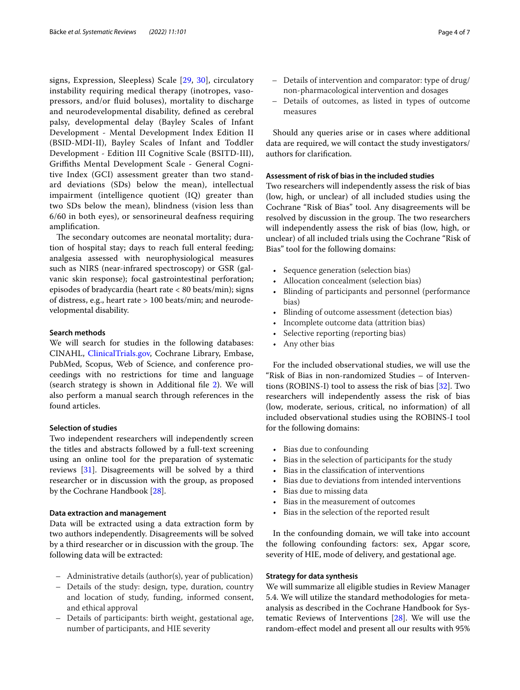signs, Expression, Sleepless) Scale [\[29](#page-6-5), [30](#page-6-6)], circulatory instability requiring medical therapy (inotropes, vasopressors, and/or fuid boluses), mortality to discharge and neurodevelopmental disability, defned as cerebral palsy, developmental delay (Bayley Scales of Infant Development - Mental Development Index Edition II (BSID-MDI-II), Bayley Scales of Infant and Toddler Development - Edition III Cognitive Scale (BSITD-III), Grifths Mental Development Scale - General Cognitive Index (GCI) assessment greater than two standard deviations (SDs) below the mean), intellectual impairment (intelligence quotient (IQ) greater than two SDs below the mean), blindness (vision less than 6/60 in both eyes), or sensorineural deafness requiring amplifcation.

The secondary outcomes are neonatal mortality; duration of hospital stay; days to reach full enteral feeding; analgesia assessed with neurophysiological measures such as NIRS (near-infrared spectroscopy) or GSR (galvanic skin response); focal gastrointestinal perforation; episodes of bradycardia (heart rate < 80 beats/min); signs of distress, e.g., heart rate > 100 beats/min; and neurodevelopmental disability.

# **Search methods**

We will search for studies in the following databases: CINAHL, [ClinicalTrials.gov,](http://clinicaltrials.gov) Cochrane Library, Embase, PubMed, Scopus, Web of Science, and conference proceedings with no restrictions for time and language (search strategy is shown in Additional fle [2\)](#page-5-24). We will also perform a manual search through references in the found articles.

# **Selection of studies**

Two independent researchers will independently screen the titles and abstracts followed by a full-text screening using an online tool for the preparation of systematic reviews [[31\]](#page-6-7). Disagreements will be solved by a third researcher or in discussion with the group, as proposed by the Cochrane Handbook [\[28\]](#page-6-4).

## **Data extraction and management**

Data will be extracted using a data extraction form by two authors independently. Disagreements will be solved by a third researcher or in discussion with the group. The following data will be extracted:

- Administrative details (author(s), year of publication)
- Details of the study: design, type, duration, country and location of study, funding, informed consent, and ethical approval
- Details of participants: birth weight, gestational age, number of participants, and HIE severity
- Details of intervention and comparator: type of drug/ non-pharmacological intervention and dosages
- Details of outcomes, as listed in types of outcome measures

Should any queries arise or in cases where additional data are required, we will contact the study investigators/ authors for clarifcation.

# **Assessment of risk of bias in the included studies**

Two researchers will independently assess the risk of bias (low, high, or unclear) of all included studies using the Cochrane "Risk of Bias" tool. Any disagreements will be resolved by discussion in the group. The two researchers will independently assess the risk of bias (low, high, or unclear) of all included trials using the Cochrane "Risk of Bias" tool for the following domains:

- Sequence generation (selection bias)
- Allocation concealment (selection bias)
- Blinding of participants and personnel (performance bias)
- Blinding of outcome assessment (detection bias)
- Incomplete outcome data (attrition bias)
- Selective reporting (reporting bias)
- Any other bias

For the included observational studies, we will use the "Risk of Bias in non-randomized Studies – of Interventions (ROBINS-I) tool to assess the risk of bias [[32\]](#page-6-8). Two researchers will independently assess the risk of bias (low, moderate, serious, critical, no information) of all included observational studies using the ROBINS-I tool for the following domains:

- Bias due to confounding
- Bias in the selection of participants for the study
- Bias in the classifcation of interventions
- Bias due to deviations from intended interventions
- Bias due to missing data
- Bias in the measurement of outcomes
- Bias in the selection of the reported result

In the confounding domain, we will take into account the following confounding factors: sex, Apgar score, severity of HIE, mode of delivery, and gestational age.

# **Strategy for data synthesis**

We will summarize all eligible studies in Review Manager 5.4. We will utilize the standard methodologies for metaanalysis as described in the Cochrane Handbook for Systematic Reviews of Interventions [[28](#page-6-4)]. We will use the random-efect model and present all our results with 95%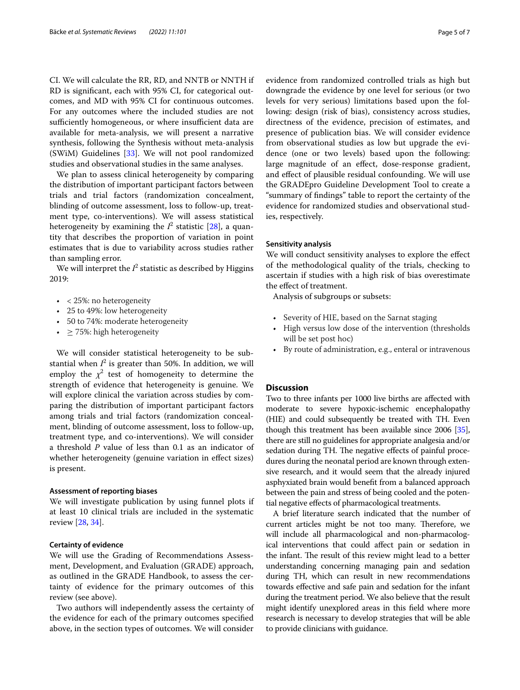CI. We will calculate the RR, RD, and NNTB or NNTH if RD is signifcant, each with 95% CI, for categorical outcomes, and MD with 95% CI for continuous outcomes. For any outcomes where the included studies are not sufficiently homogeneous, or where insufficient data are available for meta-analysis, we will present a narrative synthesis, following the Synthesis without meta-analysis (SWiM) Guidelines [[33\]](#page-6-9). We will not pool randomized studies and observational studies in the same analyses.

We plan to assess clinical heterogeneity by comparing the distribution of important participant factors between trials and trial factors (randomization concealment, blinding of outcome assessment, loss to follow-up, treatment type, co-interventions). We will assess statistical heterogeneity by examining the  $I^2$  statistic [[28\]](#page-6-4), a quantity that describes the proportion of variation in point estimates that is due to variability across studies rather than sampling error.

We will interpret the  $I^2$  statistic as described by Higgins 2019:

- $\bullet$  < 25%: no heterogeneity
- 25 to 49%: low heterogeneity
- 50 to 74%: moderate heterogeneity
- $\geq$  75%: high heterogeneity

We will consider statistical heterogeneity to be substantial when  $I^2$  is greater than 50%. In addition, we will employ the  $\chi^2$  test of homogeneity to determine the strength of evidence that heterogeneity is genuine. We will explore clinical the variation across studies by comparing the distribution of important participant factors among trials and trial factors (randomization concealment, blinding of outcome assessment, loss to follow-up, treatment type, and co-interventions). We will consider a threshold *P* value of less than 0.1 as an indicator of whether heterogeneity (genuine variation in effect sizes) is present.

#### **Assessment of reporting biases**

We will investigate publication by using funnel plots if at least 10 clinical trials are included in the systematic review [\[28](#page-6-4), [34\]](#page-6-10).

#### **Certainty of evidence**

We will use the Grading of Recommendations Assessment, Development, and Evaluation (GRADE) approach, as outlined in the GRADE Handbook, to assess the certainty of evidence for the primary outcomes of this review (see above).

Two authors will independently assess the certainty of the evidence for each of the primary outcomes specifed above, in the section types of outcomes. We will consider evidence from randomized controlled trials as high but downgrade the evidence by one level for serious (or two levels for very serious) limitations based upon the following: design (risk of bias), consistency across studies, directness of the evidence, precision of estimates, and presence of publication bias. We will consider evidence from observational studies as low but upgrade the evidence (one or two levels) based upon the following: large magnitude of an efect, dose-response gradient, and efect of plausible residual confounding. We will use the GRADEpro Guideline Development Tool to create a "summary of fndings" table to report the certainty of the evidence for randomized studies and observational studies, respectively.

#### **Sensitivity analysis**

We will conduct sensitivity analyses to explore the efect of the methodological quality of the trials, checking to ascertain if studies with a high risk of bias overestimate the efect of treatment.

Analysis of subgroups or subsets:

- Severity of HIE, based on the Sarnat staging
- High versus low dose of the intervention (thresholds will be set post hoc)
- By route of administration, e.g., enteral or intravenous

### **Discussion**

Two to three infants per 1000 live births are afected with moderate to severe hypoxic-ischemic encephalopathy (HIE) and could subsequently be treated with TH. Even though this treatment has been available since 2006 [[35](#page-6-11)], there are still no guidelines for appropriate analgesia and/or sedation during TH. The negative effects of painful procedures during the neonatal period are known through extensive research, and it would seem that the already injured asphyxiated brain would beneft from a balanced approach between the pain and stress of being cooled and the potential negative efects of pharmacological treatments.

A brief literature search indicated that the number of current articles might be not too many. Therefore, we will include all pharmacological and non-pharmacological interventions that could afect pain or sedation in the infant. The result of this review might lead to a better understanding concerning managing pain and sedation during TH, which can result in new recommendations towards efective and safe pain and sedation for the infant during the treatment period. We also believe that the result might identify unexplored areas in this feld where more research is necessary to develop strategies that will be able to provide clinicians with guidance.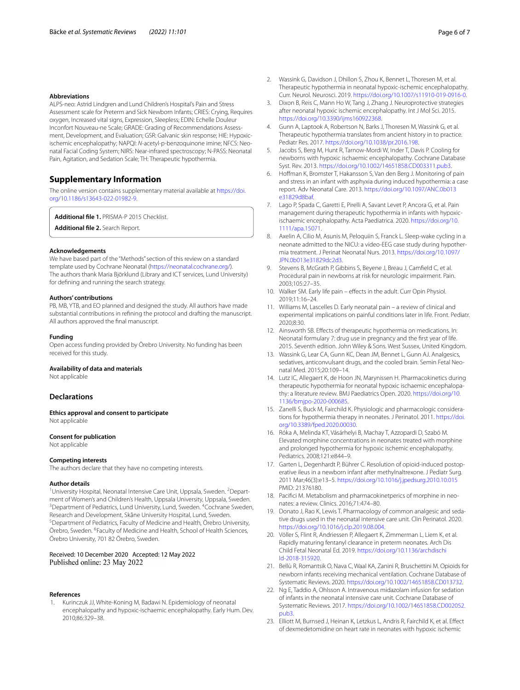#### **Abbreviations**

ALPS-neo: Astrid Lindgren and Lund Children's Hospital's Pain and Stress Assessment scale for Preterm and Sick Newborn Infants; CRIES: Crying, Requires oxygen, Increased vital signs, Expression, Sleepless; EDIN: Echelle Douleur Inconfort Nouveau-ne Scale; GRADE: Grading of Recommendations Assessment, Development, and Evaluation; GSR: Galvanic skin response; HIE: Hypoxicischemic encephalopathy; NAPQI: *N*-acetyl-p-benzoquinone imine; NFCS: Neonatal Facial Coding System; NIRS: Near-infrared spectroscopy; N-PASS: Neonatal Pain, Agitation, and Sedation Scale; TH: Therapeutic hypothermia.

# **Supplementary Information**

The online version contains supplementary material available at [https://doi.](https://doi.org/10.1186/s13643-022-01982-9) [org/10.1186/s13643-022-01982-9](https://doi.org/10.1186/s13643-022-01982-9).

<span id="page-5-24"></span><span id="page-5-23"></span>**Additional fle 1.** PRISMA-P 2015 Checklist.

**Additional fle 2.** Search Report.

#### **Acknowledgements**

We have based part of the "Methods" section of this review on a standard template used by Cochrane Neonatal ([https://neonatal.cochrane.org/\)](https://neonatal.cochrane.org/). The authors thank Maria Björklund (Library and ICT services, Lund University) for defning and running the search strategy.

#### **Authors' contributions**

PB, MB, YTB, and EO planned and designed the study. All authors have made substantial contributions in refning the protocol and drafting the manuscript. All authors approved the fnal manuscript.

#### **Funding**

Open access funding provided by Örebro University. No funding has been received for this study.

# **Availability of data and materials**

Not applicable

#### **Declarations**

**Ethics approval and consent to participate** Not applicable

#### **Consent for publication**

Not applicable

#### **Competing interests**

The authors declare that they have no competing interests.

#### **Author details**

<sup>1</sup> University Hospital, Neonatal Intensive Care Unit, Uppsala, Sweden. <sup>2</sup> Department of Women's and Children's Health, Uppsala University, Uppsala, Sweden. 3 Department of Pediatrics, Lund University, Lund, Sweden. <sup>4</sup> Cochrane Sweden, Research and Development, Skåne University Hospital, Lund, Sweden. Department of Pediatrics, Faculty of Medicine and Health, Örebro University, Örebro, Sweden. <sup>6</sup> Faculty of Medicine and Health, School of Health Sciences, Örebro University, 701 82 Örebro, Sweden.

#### Received: 10 December 2020 Accepted: 12 May 2022 Published online: 23 May 2022

#### **References**

<span id="page-5-0"></span>Kurinczuk JJ, White-Koning M, Badawi N. Epidemiology of neonatal encephalopathy and hypoxic-ischaemic encephalopathy. Early Hum. Dev. 2010;86:329–38.

- <span id="page-5-1"></span>2. Wassink G, Davidson J, Dhillon S, Zhou K, Bennet L, Thoresen M, et al. Therapeutic hypothermia in neonatal hypoxic-ischemic encephalopathy. Curr. Neurol. Neurosci. 2019. [https://doi.org/10.1007/s11910-019-0916-0.](https://doi.org/10.1007/s11910-019-0916-0)
- <span id="page-5-2"></span>3. Dixon B, Reis C, Mann Ho W, Tang J, Zhang J. Neuroprotective strategies after neonatal hypoxic ischemic encephalopathy. Int J Mol Sci. 2015. [https://doi.org/10.3390/ijms160922368.](https://doi.org/10.3390/ijms160922368)
- <span id="page-5-3"></span>4. Gunn A, Laptook A, Robertson N, Barks J, Thoresen M, Wassink G, et al. Therapeutic hypothermia translates from ancient history in to practice. Pediatr Res. 2017. [https://doi.org/10.1038/pr.2016.198.](https://doi.org/10.1038/pr.2016.198)
- <span id="page-5-4"></span>5. Jacobs S, Berg M, Hunt R, Tarnow-Mordi W, Inder T, Davis P. Cooling for newborns with hypoxic ischaemic encephalopathy. Cochrane Database Syst. Rev. 2013. <https://doi.org/10.1002/14651858.CD003311.pub3>.
- <span id="page-5-5"></span>6. Hofman K, Bromster T, Hakansson S, Van den Berg J. Monitoring of pain and stress in an infant with asphyxia during induced hypothermia: a case report. Adv Neonatal Care. 2013. [https://doi.org/10.1097/ANC.0b013](https://doi.org/10.1097/ANC.0b013e31829d8baf) [e31829d8baf.](https://doi.org/10.1097/ANC.0b013e31829d8baf)
- <span id="page-5-6"></span>7. Lago P, Spada C, Garetti E, Pirelli A, Savant Levet P, Ancora G, et al. Pain management during therapeutic hypothermia in infants with hypoxicischaemic encephalopathy. Acta Paediatrica. 2020. [https://doi.org/10.](https://doi.org/10.1111/apa.15071) [1111/apa.15071.](https://doi.org/10.1111/apa.15071)
- <span id="page-5-7"></span>8. Axelin A, Cilio M, Asunis M, Peloquiin S, Franck L. Sleep-wake cycling in a neonate admitted to the NICU: a video-EEG case study during hypothermia treatment. J Perinat Neonatal Nurs. 2013. [https://doi.org/10.1097/](https://doi.org/10.1097/JPN.0b013e31829dc2d3) [JPN.0b013e31829dc2d3.](https://doi.org/10.1097/JPN.0b013e31829dc2d3)
- <span id="page-5-8"></span>9. Stevens B, McGrath P, Gibbins S, Beyene J, Breau J, Camfeld C, et al. Procedural pain in newborns at risk for neurologic impairment. Pain. 2003;105:27–35.
- <span id="page-5-9"></span>10. Walker SM. Early life pain – effects in the adult. Curr Opin Physiol. 2019;11:16–24.
- <span id="page-5-10"></span>11. Williams M, Lascelles D. Early neonatal pain – a review of clinical and experimental implications on painful conditions later in life. Front. Pediatr. 2020;8:30.
- <span id="page-5-11"></span>12. Ainsworth SB. Efects of therapeutic hypothermia on medications. In: Neonatal formulary 7: drug use in pregnancy and the frst year of life. 2015. Seventh edition. John Wiley & Sons. West Sussex, United Kingdom.
- <span id="page-5-12"></span>13. Wassink G, Lear CA, Gunn KC, Dean JM, Bennet L, Gunn AJ. Analgesics, sedatives, anticonvulsant drugs, and the cooled brain. Semin Fetal Neonatal Med. 2015;20:109–14.
- <span id="page-5-13"></span>14. Lutz IC, Allegaert K, de Hoon JN, Marynissen H. Pharmacokinetics during therapeutic hypothermia for neonatal hypoxic ischaemic encephalopathy: a literature review. BMJ Paediatrics Open. 2020. [https://doi.org/10.](https://doi.org/10.1136/bmjpo-2020-000685) [1136/bmjpo-2020-000685](https://doi.org/10.1136/bmjpo-2020-000685).
- <span id="page-5-14"></span>15. Zanelli S, Buck M, Fairchild K. Physiologic and pharmacologic considerations for hypothermia therapy in neonates. J Perinatol. 2011. [https://doi.](https://doi.org/10.3389/fped.2020.00030) [org/10.3389/fped.2020.00030.](https://doi.org/10.3389/fped.2020.00030)
- <span id="page-5-15"></span>16. Róka A, Melinda KT, Vásárhelyi B, Machay T, Azzopardi D, Szabó M. Elevated morphine concentrations in neonates treated with morphine and prolonged hypothermia for hypoxic ischemic encephalopathy. Pediatrics. 2008;121:e844–9.
- <span id="page-5-16"></span>17. Garten L, Degenhardt P, Bührer C. Resolution of opioid-induced postoperative ileus in a newborn infant after methylnaltrexone. J Pediatr Surg. 2011 Mar;46(3):e13–5. <https://doi.org/10.1016/j.jpedsurg.2010.10.015> PMID: 21376180.
- <span id="page-5-17"></span>18. Pacifci M. Metabolism and pharmacokinetperics of morphine in neonates: a review. Clinics. 2016;71:474–80.
- <span id="page-5-18"></span>19. Donato J, Rao K, Lewis T. Pharmacology of common analgesic and sedative drugs used in the neonatal intensive care unit. Clin Perinatol. 2020. <https://doi.org/10.1016/j.clp.2019.08.004>.
- <span id="page-5-19"></span>20. Völler S, Flint R, Andriessen P, Allegaert K, Zimmerman L, Liem K, et al. Rapidly maturing fentanyl clearance in preterm neonates. Arch Dis Child Fetal Neonatal Ed. 2019. [https://doi.org/10.1136/archdischi](https://doi.org/10.1136/archdischild-2018-315920) [ld-2018-315920](https://doi.org/10.1136/archdischild-2018-315920).
- <span id="page-5-20"></span>21. Bellù R, Romantsik O, Nava C, Waal KA, Zanini R, Bruschettini M. Opioids for newborn infants receiving mechanical ventilation. Cochrane Database of Systematic Reviews. 2020.<https://doi.org/10.1002/14651858.CD013732>.
- <span id="page-5-21"></span>22. Ng E, Taddio A, Ohlsson A. Intravenous midazolam infusion for sedation of infants in the neonatal intensive care unit. Cochrane Database of Systematic Reviews. 2017. [https://doi.org/10.1002/14651858.CD002052.](https://doi.org/10.1002/14651858.CD002052.pub3) [pub3.](https://doi.org/10.1002/14651858.CD002052.pub3)
- <span id="page-5-22"></span>23. Elliott M, Burnsed J, Heinan K, Letzkus L, Andris R, Fairchild K, et al. Efect of dexmedetomidine on heart rate in neonates with hypoxic ischemic